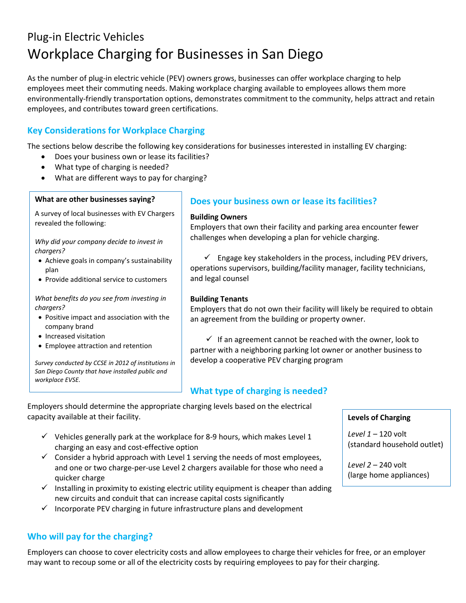# Plug-in Electric Vehicles Workplace Charging for Businesses in San Diego

As the number of plug-in electric vehicle (PEV) owners grows, businesses can offer workplace charging to help employees meet their commuting needs. Making workplace charging available to employees allows them more environmentally-friendly transportation options, demonstrates commitment to the community, helps attract and retain employees, and contributes toward green certifications.

# **Key Considerations for Workplace Charging**

The sections below describe the following key considerations for businesses interested in installing EV charging:

- Does your business own or lease its facilities?
- What type of charging is needed?
- What are different ways to pay for charging?

#### **What are other businesses saying?**

A survey of local businesses with EV Chargers revealed the following:

*Why did your company decide to invest in chargers?*

- Achieve goals in company's sustainability plan
- Provide additional service to customers

*What benefits do you see from investing in chargers?*

- Positive impact and association with the company brand
- Increased visitation
- Employee attraction and retention

*Survey conducted by CCSE in 2012 of institutions in San Diego County that have installed public and workplace EVSE.*

## **Does your business own or lease its facilities?**

#### **Building Owners**

Employers that own their facility and parking area encounter fewer challenges when developing a plan for vehicle charging.

 $\checkmark$  Engage key stakeholders in the process, including PEV drivers, operations supervisors, building/facility manager, facility technicians, and legal counsel

## **Building Tenants**

Employers that do not own their facility will likely be required to obtain an agreement from the building or property owner.

 $\checkmark$  If an agreement cannot be reached with the owner, look to partner with a neighboring parking lot owner or another business to develop a cooperative PEV charging program

## **What type of charging is needed?**

Employers should determine the appropriate charging levels based on the electrical capacity available at their facility.

- $\checkmark$  Vehicles generally park at the workplace for 8-9 hours, which makes Level 1 charging an easy and cost-effective option
- $\checkmark$  Consider a hybrid approach with Level 1 serving the needs of most employees, and one or two charge-per-use Level 2 chargers available for those who need a quicker charge
- $\checkmark$  Installing in proximity to existing electric utility equipment is cheaper than adding new circuits and conduit that can increase capital costs significantly
- $\checkmark$  Incorporate PEV charging in future infrastructure plans and development

## **Who will pay for the charging?**

Employers can choose to cover electricity costs and allow employees to charge their vehicles for free, or an employer may want to recoup some or all of the electricity costs by requiring employees to pay for their charging.

#### **Levels of Charging**

*Level 1* – 120 volt (standard household outlet)

*Level 2* – 240 volt (large home appliances)